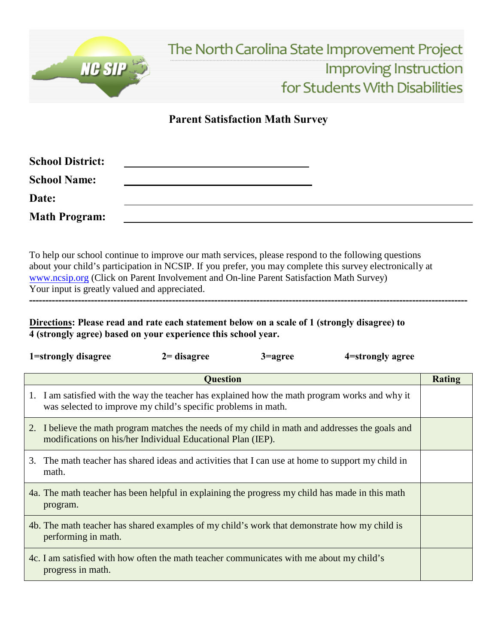

## **Parent Satisfaction Math Survey**

| <b>School District:</b> |  |
|-------------------------|--|
| <b>School Name:</b>     |  |
| Date:                   |  |
| <b>Math Program:</b>    |  |

To help our school continue to improve our math services, please respond to the following questions about your child's participation in NCSIP. If you prefer, you may complete this survey electronically at [www.ncsip.org \(](http://www.ncsip.org/)Click on Parent Involvement and On-line Parent Satisfaction Math Survey) Your input is greatly valued and appreciated.

**---------------------------------------------------------------------------------------------------------------------------------------**

**Directions: Please read and rate each statement below on a scale of 1 (strongly disagree) to 4 (strongly agree) based on your experience this school year.**

|                 | 1=strongly disagree                                                                                                                                             | $2 =$ disagree | 3=agree | 4 = strongly agree |        |
|-----------------|-----------------------------------------------------------------------------------------------------------------------------------------------------------------|----------------|---------|--------------------|--------|
| <b>Question</b> |                                                                                                                                                                 |                |         |                    | Rating |
|                 | 1. I am satisfied with the way the teacher has explained how the math program works and why it<br>was selected to improve my child's specific problems in math. |                |         |                    |        |
|                 | 2. I believe the math program matches the needs of my child in math and addresses the goals and<br>modifications on his/her Individual Educational Plan (IEP).  |                |         |                    |        |
| 3.              | The math teacher has shared ideas and activities that I can use at home to support my child in<br>math.                                                         |                |         |                    |        |
|                 | 4a. The math teacher has been helpful in explaining the progress my child has made in this math<br>program.                                                     |                |         |                    |        |
|                 | 4b. The math teacher has shared examples of my child's work that demonstrate how my child is<br>performing in math.                                             |                |         |                    |        |
|                 | 4c. I am satisfied with how often the math teacher communicates with me about my child's<br>progress in math.                                                   |                |         |                    |        |